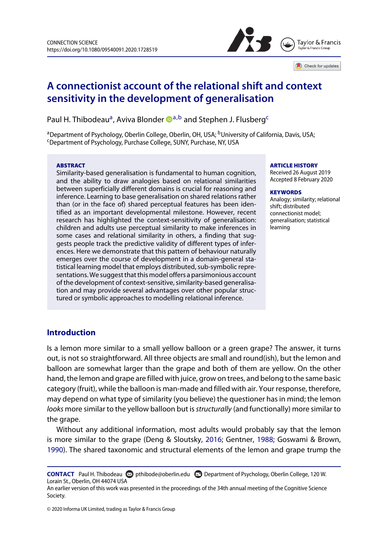



# **A connectionist account of the relational shift and context sensitivity in the development of generalisation**

Paul H. Thi[b](#page-0-1)odeau<sup>a</sup>, Aviva Blonder **D[a,](#page-0-0)b** and Stephen J. Flusberg<sup>[c](#page-0-2)</sup>

<span id="page-0-2"></span><span id="page-0-0"></span><sup>a</sup>Department of Psychology, Oberlin College, Oberlin, OH, USA; <sup>b</sup>University of California, Davis, USA; Department of Psychology, Purchase College, SUNY, Purchase, NY, USA

#### ABSTRACT

Similarity-based generalisation is fundamental to human cognition, and the ability to draw analogies based on relational similarities between superficially different domains is crucial for reasoning and inference. Learning to base generalisation on shared relations rather than (or in the face of) shared perceptual features has been identified as an important developmental milestone. However, recent research has highlighted the context-sensitivity of generalisation: children and adults use perceptual similarity to make inferences in some cases and relational similarity in others, a finding that suggests people track the predictive validity of different types of inferences. Here we demonstrate that this pattern of behaviour naturally emerges over the course of development in a domain-general statistical learning model that employs distributed, sub-symbolic representations. We suggest that this model offers a parsimonious account of the development of context-sensitive, similarity-based generalisation and may provide several advantages over other popular structured or symbolic approaches to modelling relational inference.

#### <span id="page-0-1"></span>ARTICLE HISTORY

Received 26 August 2019 Accepted 8 February 2020

#### **KEYWORDS**

Analogy; similarity; relational shift; distributed connectionist model; generalisation; statistical learning

# **Introduction**

Is a lemon more similar to a small yellow balloon or a green grape? The answer, it turns out, is not so straightforward. All three objects are small and round(ish), but the lemon and balloon are somewhat larger than the grape and both of them are yellow. On the other hand, the lemon and grape are filled with juice, grow on trees, and belong to the same basic category (fruit), while the balloon is man-made and filled with air. Your response, therefore, may depend on what type of similarity (you believe) the questioner has in mind; the lemon *looks* more similar to the yellow balloon but is*structurally* (and functionally) more similar to the grape.

<span id="page-0-5"></span><span id="page-0-4"></span><span id="page-0-3"></span>Without any additional information, most adults would probably say that the lemon is more similar to the grape (Deng & Sloutsky, [2016;](#page-12-0) Gentner, [1988;](#page-12-1) Goswami & Brown, [1990\)](#page-12-2). The shared taxonomic and structural elements of the lemon and grape trump the

**CONTACT** Paul H. Thibodeau **Containable@oberlin.edu Department of Psychology, Oberlin College, 120 W.** Lorain St., Oberlin, OH 44074 USA

An earlier version of this work was presented in the proceedings of the 34th annual meeting of the Cognitive Science Society.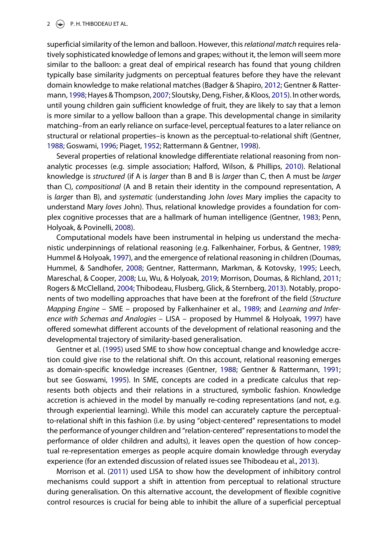#### 2  $\left(\rightarrow\right)$  P.H. THIBODEAU ET AL.

<span id="page-1-19"></span><span id="page-1-10"></span><span id="page-1-5"></span><span id="page-1-0"></span>superficial similarity of the lemon and balloon. However, this*relational match* requires relatively sophisticated knowledge of lemons and grapes; without it, the lemon will seem more similar to the balloon: a great deal of empirical research has found that young children typically base similarity judgments on perceptual features before they have the relevant domain knowledge to make relational matches (Badger & Shapiro, [2012;](#page-12-3) Gentner & Rattermann, [1998;](#page-12-4) Hayes & Thompson, [2007;](#page-12-5) Sloutsky, Deng, Fisher, & Kloos, [2015\)](#page-13-0). In other words, until young children gain sufficient knowledge of fruit, they are likely to say that a lemon is more similar to a yellow balloon than a grape. This developmental change in similarity matching–from an early reliance on surface-level, perceptual features to a later reliance on structural or relational properties–is known as the perceptual-to-relational shift (Gentner, [1988;](#page-12-1) Goswami, [1996;](#page-12-6) Piaget, [1952;](#page-13-1) Rattermann & Gentner, [1998\)](#page-13-2).

<span id="page-1-17"></span><span id="page-1-16"></span><span id="page-1-9"></span><span id="page-1-8"></span>Several properties of relational knowledge differentiate relational reasoning from nonanalytic processes (e.g. simple association; Halford, Wilson, & Phillips, [2010\)](#page-12-7). Relational knowledge is *structured* (if A is *larger* than B and B is *larger* than C, then A must be *larger* than C), *compositional* (A and B retain their identity in the compound representation, A is *larger* than B), and *systematic* (understanding John *loves* Mary implies the capacity to understand Mary *loves* John). Thus, relational knowledge provides a foundation for complex cognitive processes that are a hallmark of human intelligence (Gentner, [1983;](#page-12-8) Penn, Holyoak, & Povinelli, [2008\)](#page-13-3).

<span id="page-1-20"></span><span id="page-1-18"></span><span id="page-1-15"></span><span id="page-1-14"></span><span id="page-1-13"></span><span id="page-1-12"></span><span id="page-1-11"></span><span id="page-1-6"></span><span id="page-1-3"></span><span id="page-1-2"></span><span id="page-1-1"></span>Computational models have been instrumental in helping us understand the mechanistic underpinnings of relational reasoning (e.g. Falkenhainer, Forbus, & Gentner, [1989;](#page-12-9) Hummel & Holyoak, [1997\)](#page-13-4), and the emergence of relational reasoning in children (Doumas, Hummel, & Sandhofer, [2008;](#page-12-10) Gentner, Rattermann, Markman, & Kotovsky, [1995;](#page-12-11) Leech, Mareschal, & Cooper, [2008;](#page-13-5) Lu, Wu, & Holyoak, [2019;](#page-13-6) Morrison, Doumas, & Richland, [2011;](#page-13-7) Rogers & McClelland, [2004;](#page-13-8) Thibodeau, Flusberg, Glick, & Sternberg, [2013\)](#page-13-9). Notably, proponents of two modelling approaches that have been at the forefront of the field (*Structure Mapping Engine* – SME – proposed by Falkenhainer et al., [1989;](#page-12-9) and *Learning and Inference with Schemas and Analogies* – LISA – proposed by Hummel & Holyoak, [1997\)](#page-13-4) have offered somewhat different accounts of the development of relational reasoning and the developmental trajectory of similarity-based generalisation.

<span id="page-1-7"></span><span id="page-1-4"></span>Gentner et al. [\(1995\)](#page-12-11) used SME to show how conceptual change and knowledge accretion could give rise to the relational shift. On this account, relational reasoning emerges as domain-specific knowledge increases (Gentner, [1988;](#page-12-1) Gentner & Rattermann, [1991;](#page-12-12) but see Goswami, [1995\)](#page-12-13). In SME, concepts are coded in a predicate calculus that represents both objects and their relations in a structured, symbolic fashion. Knowledge accretion is achieved in the model by manually re-coding representations (and not, e.g. through experiential learning). While this model can accurately capture the perceptualto-relational shift in this fashion (i.e. by using "object-centered" representations to model the performance of younger children and "relation-centered" representations to model the performance of older children and adults), it leaves open the question of how conceptual re-representation emerges as people acquire domain knowledge through everyday experience (for an extended discussion of related issues see Thibodeau et al., [2013\)](#page-13-9).

Morrison et al. [\(2011\)](#page-13-7) used LISA to show how the development of inhibitory control mechanisms could support a shift in attention from perceptual to relational structure during generalisation. On this alternative account, the development of flexible cognitive control resources is crucial for being able to inhibit the allure of a superficial perceptual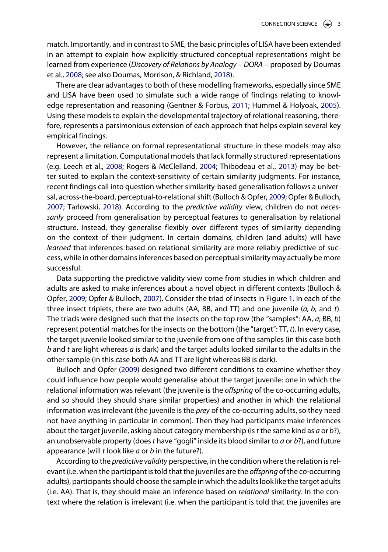match. Importantly, and in contrast to SME, the basic principles of LISA have been extended in an attempt to explain how explicitly structured conceptual representations might be learned from experience (*Discovery of Relations by Analogy – DORA –* proposed by Doumas et al., [2008;](#page-12-10) see also Doumas, Morrison, & Richland, [2018\)](#page-12-14).

<span id="page-2-3"></span><span id="page-2-2"></span><span id="page-2-1"></span>There are clear advantages to both of these modelling frameworks, especially since SME and LISA have been used to simulate such a wide range of findings relating to knowledge representation and reasoning (Gentner & Forbus, [2011;](#page-12-15) Hummel & Holyoak, [2005\)](#page-13-10). Using these models to explain the developmental trajectory of relational reasoning, therefore, represents a parsimonious extension of each approach that helps explain several key empirical findings.

<span id="page-2-5"></span><span id="page-2-4"></span><span id="page-2-0"></span>However, the reliance on formal representational structure in these models may also represent a limitation. Computational models that lack formally structured representations (e.g. Leech et al., [2008;](#page-13-5) Rogers & McClelland, [2004;](#page-13-8) Thibodeau et al., [2013\)](#page-13-9) may be better suited to explain the context-sensitivity of certain similarity judgments. For instance, recent findings call into question whether similarity-based generalisation follows a universal, across-the-board, perceptual-to-relational shift (Bulloch & Opfer, [2009;](#page-12-16) Opfer & Bulloch, [2007;](#page-13-11) Tarlowski, [2018\)](#page-13-12). According to the *predictive validity* view, children do not *necessarily* proceed from generalisation by perceptual features to generalisation by relational structure. Instead, they generalise flexibly over different types of similarity depending on the context of their judgment. In certain domains, children (and adults) will have *learned* that inferences based on relational similarity are more reliably predictive of success, while in other domains inferences based on perceptual similarity may actually be more successful.

Data supporting the predictive validity view come from studies in which children and adults are asked to make inferences about a novel object in different contexts (Bulloch & Opfer, [2009;](#page-12-16) Opfer & Bulloch, [2007\)](#page-13-11). Consider the triad of insects in Figure [1.](#page-3-0) In each of the three insect triplets, there are two adults (AA, BB, and TT) and one juvenile (*a, b,* and *t*). The triads were designed such that the insects on the top row (the "samples": AA, *a*; BB, *b*) represent potential matches for the insects on the bottom (the "target": TT, *t*). In every case, the target juvenile looked similar to the juvenile from one of the samples (in this case both *b* and *t* are light whereas *a* is dark) and the target adults looked similar to the adults in the other sample (in this case both AA and TT are light whereas BB is dark).

Bulloch and Opfer [\(2009\)](#page-12-16) designed two different conditions to examine whether they could influence how people would generalise about the target juvenile: one in which the relational information was relevant (the juvenile is the *offspring* of the co-occurring adults, and so should they should share similar properties) and another in which the relational information was irrelevant (the juvenile is the *prey* of the co-occurring adults, so they need not have anything in particular in common). Then they had participants make inferences about the target juvenile, asking about category membership (is*t* the same kind as *a* or *b*?), an unobservable property (does*t* have "gogli" inside its blood similar to *a* or *b*?), and future appearance (will *t* look like *a* or *b* in the future?).

According to the *predictive validity* perspective, in the condition where the relation is relevant (i.e. when the participant is told that the juveniles are the *offspring* ofthe co-occurring adults), participants should choose the sample in which the adults look like the target adults (i.e. AA). That is, they should make an inference based on *relational* similarity. In the context where the relation is irrelevant (i.e. when the participant is told that the juveniles are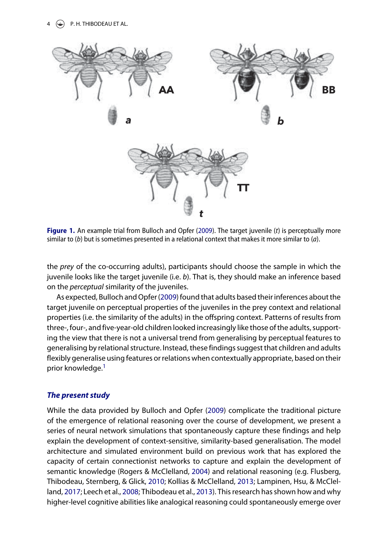

<span id="page-3-0"></span>**Figure 1.** An example trial from Bulloch and Opfer [\(2009\)](#page-12-16). The target juvenile (*t*) is perceptually more similar to (*b*) but is sometimes presented in a relational context that makes it more similar to (*a*).

the *prey* of the co-occurring adults), participants should choose the sample in which the juvenile looks like the target juvenile (i.e. *b*). That is, they should make an inference based on the *perceptual* similarity of the juveniles.

As expected, Bulloch and Opfer [\(2009\)](#page-12-16) found that adults based their inferences about the target juvenile on perceptual properties of the juveniles in the prey context and relational properties (i.e. the similarity of the adults) in the offspring context. Patterns of results from three-, four-, and five-year-old children looked increasingly like those of the adults, supporting the view that there is not a universal trend from generalising by perceptual features to generalising by relational structure. Instead, these findings suggest that children and adults flexibly generalise using features or relations when contextually appropriate, based on their prior knowledge.<sup>[1](#page-11-0)</sup>

# <span id="page-3-1"></span>*The present study*

<span id="page-3-4"></span><span id="page-3-3"></span><span id="page-3-2"></span>While the data provided by Bulloch and Opfer [\(2009\)](#page-12-16) complicate the traditional picture of the emergence of relational reasoning over the course of development, we present a series of neural network simulations that spontaneously capture these findings and help explain the development of context-sensitive, similarity-based generalisation. The model architecture and simulated environment build on previous work that has explored the capacity of certain connectionist networks to capture and explain the development of semantic knowledge (Rogers & McClelland, [2004\)](#page-13-8) and relational reasoning (e.g. Flusberg, Thibodeau, Sternberg, & Glick, [2010;](#page-12-17) Kollias & McClelland, [2013;](#page-13-13) Lampinen, Hsu, & McClelland, [2017;](#page-13-14) Leech et al., [2008;](#page-13-5) Thibodeau et al., [2013\)](#page-13-9). This research has shown how and why higher-level cognitive abilities like analogical reasoning could spontaneously emerge over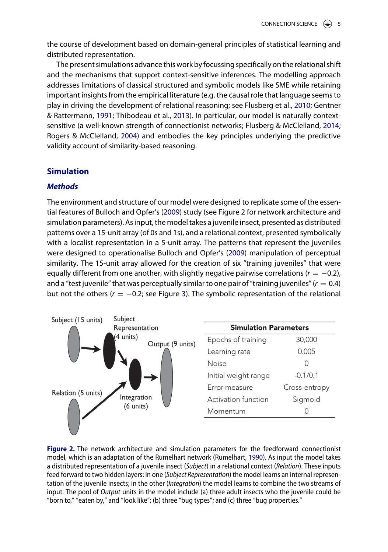the course of development based on domain-general principles of statistical learning and distributed representation.

The present simulations advance this work byfocussing specifically on the relational shift and the mechanisms that support context-sensitive inferences. The modelling approach addresses limitations of classical structured and symbolic models like SME while retaining important insights from the empirical literature (e.g. the causal role that language seems to play in driving the development of relational reasoning; see Flusberg et al., [2010;](#page-12-17) Gentner & Rattermann, [1991;](#page-12-12) Thibodeau et al., [2013\)](#page-13-9). In particular, our model is naturally contextsensitive (a well-known strength of connectionist networks; Flusberg & McClelland, [2014;](#page-12-18) Rogers & McClelland, [2004\)](#page-13-8) and embodies the key principles underlying the predictive validity account of similarity-based reasoning.

# <span id="page-4-1"></span>**Simulation**

# *Methods*

The environment and structure of our model were designed to replicate some of the essential features of Bulloch and Opfer's [\(2009\)](#page-12-16) study (see Figure [2](#page-4-0) for network architecture and simulation parameters). As input, the model takes a juvenile insect, presented as distributed patterns over a 15-unit array (of 0s and 1s), and a relational context, presented symbolically with a localist representation in a 5-unit array. The patterns that represent the juveniles were designed to operationalise Bulloch and Opfer's [\(2009\)](#page-12-16) manipulation of perceptual similarity. The 15-unit array allowed for the creation of six "training juveniles" that were equally different from one another, with slightly negative pairwise correlations  $(r = -0.2)$ , and a "test juvenile" that was perceptually similar to one pair of "training juveniles"  $(r = 0.4)$ but not the others  $(r = -0.2$ ; see Figure [3\)](#page-5-0). The symbolic representation of the relational



<span id="page-4-2"></span><span id="page-4-0"></span>**Figure 2.** The network architecture and simulation parameters for the feedforward connectionist model, which is an adaptation of the Rumelhart network (Rumelhart, [1990\)](#page-13-15). As input the model takes a distributed representation of a juvenile insect (*Subject*) in a relational context (*Relation*). These inputs feed forward to two hidden layers: in one (*Subject Representation*) the model learns an internal representation of the juvenile insects; in the other (*Integration*) the model learns to combine the two streams of input. The pool of *Output* units in the model include (a) three adult insects who the juvenile could be "born to," "eaten by," and "look like"; (b) three "bug types"; and (c) three "bug properties."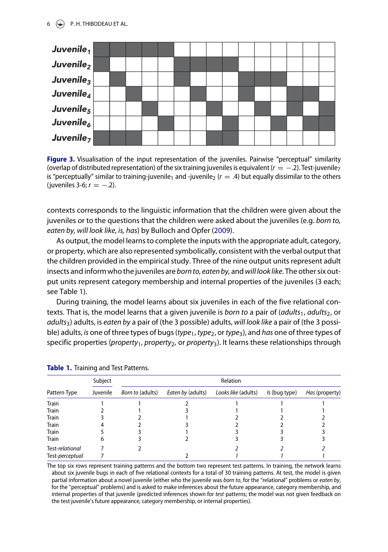### $6 \quad \Leftrightarrow$  P.H. THIBODEAU ET AL.



<span id="page-5-0"></span>**Figure 3.** Visualisation of the input representation of the juveniles. Pairwise "perceptual" similarity (overlap of distributed representation) of the six training juveniles is equivalent ( $r = -2$ ). Test-juvenile<sub>7</sub> is "perceptually" similar to training-juvenile<sub>1</sub> and -juvenile<sub>2</sub> ( $r = .4$ ) but equally dissimilar to the others (juveniles 3-6; *r* = −.2).

contexts corresponds to the linguistic information that the children were given about the juveniles or to the questions that the children were asked about the juveniles (e.g. *born to, eaten by, will look like, is, has*) by Bulloch and Opfer [\(2009\)](#page-12-16).

As output, the model learns to complete the inputs with the appropriate adult, category, or property, which are also represented symbolically, consistent with the verbal output that the children provided in the empirical study. Three of the nine output units represent adult insects and inform who the juveniles are *born to, eaten by,* and *will look like*. The other six output units represent category membership and internal properties of the juveniles (3 each; see Table [1\)](#page-5-1).

During training, the model learns about six juveniles in each of the five relational contexts. That is, the model learns that a given juvenile is *born to* a pair of (*adults*<sub>1</sub>, *adults*<sub>2</sub>, or *adults*3) adults, is *eaten by* a pair of (the 3 possible) adults, *will look like* a pair of (the 3 possible) adults, *is* one of three types of bugs (*type*1, *type*2, or *type*3), and *has* one of three types of specific properties (*property*1*, property*2*,* or *property*3). It learns these relationships through

| Pattern Type    | Subject<br>Juvenile | Relation                |                   |                     |               |                |
|-----------------|---------------------|-------------------------|-------------------|---------------------|---------------|----------------|
|                 |                     | <i>Born to (adults)</i> | Eaten by (adults) | Looks like (adults) | Is (bug type) | Has (property) |
| <b>Train</b>    |                     |                         |                   |                     |               |                |
| <b>Train</b>    |                     |                         |                   |                     |               |                |
| <b>Train</b>    |                     |                         |                   |                     |               |                |
| <b>Train</b>    |                     |                         |                   |                     |               |                |
| <b>Train</b>    |                     |                         |                   |                     |               |                |
| Train           |                     |                         |                   |                     |               |                |
| Test-relational |                     |                         |                   |                     |               |                |
| Test-perceptual |                     |                         |                   |                     |               |                |

<span id="page-5-1"></span>

|  | Table 1. Training and Test Patterns. |  |  |
|--|--------------------------------------|--|--|
|--|--------------------------------------|--|--|

The top six rows represent training patterns and the bottom two represent test patterns. In training, the network learns about six juvenile bugs in each of five relational contexts for a total of 30 training patterns. At test, the model is given partial information about a novel juvenile (either who the juvenile was *born to*, for the "relational" problems or *eaten by*, for the "perceptual" problems) and is asked to make inferences about the future appearance, category membership, and internal properties of that juvenile (predicted inferences shown for *test* patterns; the model was not given feedback on the test juvenile's future appearance, category membership, or internal properties).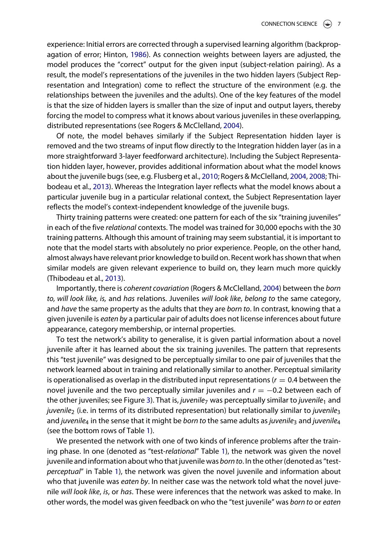<span id="page-6-0"></span>experience: Initial errors are corrected through a supervised learning algorithm (backpropagation of error; Hinton, [1986\)](#page-12-19). As connection weights between layers are adjusted, the model produces the "correct" output for the given input (subject-relation pairing). As a result, the model's representations of the juveniles in the two hidden layers (Subject Representation and Integration) come to reflect the structure of the environment (e.g. the relationships between the juveniles and the adults). One of the key features of the model is that the size of hidden layers is smaller than the size of input and output layers, thereby forcing the model to compress what it knows about various juveniles in these overlapping, distributed representations (see Rogers & McClelland, [2004\)](#page-13-8).

<span id="page-6-1"></span>Of note, the model behaves similarly if the Subject Representation hidden layer is removed and the two streams of input flow directly to the Integration hidden layer (as in a more straightforward 3-layer feedforward architecture). Including the Subject Representation hidden layer, however, provides additional information about what the model knows about the juvenile bugs (see, e.g. Flusberg et al., [2010;](#page-12-17) Rogers & McClelland, [2004,](#page-13-8) [2008;](#page-13-16) Thibodeau et al., [2013\)](#page-13-9). Whereas the Integration layer reflects what the model knows about a particular juvenile bug in a particular relational context, the Subject Representation layer reflects the model's context-independent knowledge of the juvenile bugs.

Thirty training patterns were created: one pattern for each of the six "training juveniles" in each of the five *relational* contexts. The model was trained for 30,000 epochs with the 30 training patterns. Although this amount of training may seem substantial, it is important to note that the model starts with absolutely no prior experience. People, on the other hand, almost always have relevant prior knowledge to build on. Recent work has shown that when similar models are given relevant experience to build on, they learn much more quickly (Thibodeau et al., [2013\)](#page-13-9).

Importantly, there is *coherent covariation* (Rogers & McClelland, [2004\)](#page-13-8) between the *born to, will look like, is,* and *has* relations. Juveniles *will look like*, *belong to* the same category, and *have* the same property as the adults that they are *born to*. In contrast, knowing that a given juvenile is *eaten by* a particular pair of adults does not license inferences about future appearance, category membership, or internal properties.

To test the network's ability to generalise, it is given partial information about a novel juvenile after it has learned about the six training juveniles. The pattern that represents this "test juvenile" was designed to be perceptually similar to one pair of juveniles that the network learned about in training and relationally similar to another. Perceptual similarity is operationalised as overlap in the distributed input representations  $(r = 0.4$  between the novel juvenile and the two perceptually similar juveniles and *r* = −0.2 between each of the other juveniles; see Figure [3\)](#page-5-0). That is, *juvenile*<sup>7</sup> was perceptually similar to *juvenile*<sup>1</sup> and *juvenile*<sup>2</sup> (i.e. in terms of its distributed representation) but relationally similar to *juvenile*<sup>3</sup> and *juvenile*<sub>4</sub> in the sense that it might be *born to* the same adults as *juvenile*<sub>3</sub> and *juvenile*<sub>4</sub> (see the bottom rows of Table [1\)](#page-5-1).

We presented the network with one of two kinds of inference problems after the training phase. In one (denoted as "test-*relational*" Table [1\)](#page-5-1), the network was given the novel juvenile and information about who that juvenile was *born to*. In the other (denoted as "test*perceptual*" in Table [1\)](#page-5-1), the network was given the novel juvenile and information about who that juvenile was *eaten by*. In neither case was the network told what the novel juvenile *will look like*, *is*, or *has*. These were inferences that the network was asked to make. In other words, the model was given feedback on who the "test juvenile" was *born to* or *eaten*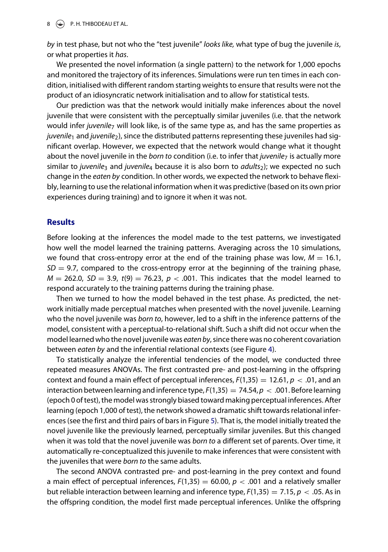#### $8 \quad \circledast$  P.H. THIBODEAU ET AL.

*by* in test phase, but not who the "test juvenile" *looks like,* what type of bug the juvenile *is*, or what properties it *has*.

We presented the novel information (a single pattern) to the network for 1,000 epochs and monitored the trajectory of its inferences. Simulations were run ten times in each condition, initialised with different random starting weights to ensure that results were not the product of an idiosyncratic network initialisation and to allow for statistical tests.

Our prediction was that the network would initially make inferences about the novel juvenile that were consistent with the perceptually similar juveniles (i.e. that the network would infer *juvenile*<sup>7</sup> will look like, is of the same type as, and has the same properties as *juvenile*<sub>1</sub> and *juvenile*<sub>2</sub>), since the distributed patterns representing these juveniles had significant overlap. However, we expected that the network would change what it thought about the novel juvenile in the *born to* condition (i.e. to infer that *juvenile*<sup>7</sup> is actually more similar to *juvenile*<sup>3</sup> and *juvenile*<sup>4</sup> because it is also born to *adults*2); we expected no such change in the *eaten by* condition. In other words, we expected the network to behave flexibly, learning to use the relational information when it was predictive (based on its own prior experiences during training) and to ignore it when it was not.

# **Results**

Before looking at the inferences the model made to the test patterns, we investigated how well the model learned the training patterns. Averaging across the 10 simulations, we found that cross-entropy error at the end of the training phase was low,  $M = 16.1$ ,  $SD = 9.7$ , compared to the cross-entropy error at the beginning of the training phase,  $M = 262.0$ ,  $SD = 3.9$ ,  $t(9) = 76.23$ ,  $p < .001$ . This indicates that the model learned to respond accurately to the training patterns during the training phase.

Then we turned to how the model behaved in the test phase. As predicted, the network initially made perceptual matches when presented with the novel juvenile. Learning who the novel juvenile was *born to*, however, led to a shift in the inference patterns of the model, consistent with a perceptual-to-relational shift. Such a shift did not occur when the model learned who the novel juvenile was *eaten by*, since there was no coherent covariation between *eaten by* and the inferential relational contexts (see Figure [4\)](#page-8-0).

To statistically analyze the inferential tendencies of the model, we conducted three repeated measures ANOVAs. The first contrasted pre- and post-learning in the offspring context and found a main effect of perceptual inferences,  $F(1,35) = 12.61$ ,  $p < .01$ , and an interaction between learning and inference type,  $F(1,35) = 74.54$ ,  $p < .001$ . Before learning (epoch 0 of test), the model was strongly biased toward making perceptual inferences. After learning (epoch 1,000 of test), the network showed a dramatic shift towards relational inferences (see the first and third pairs of bars in Figure [5\)](#page-8-1). That is, the model initially treated the novel juvenile like the previously learned, perceptually similar juveniles. But this changed when it was told that the novel juvenile was *born to* a different set of parents. Over time, it automatically re-conceptualized this juvenile to make inferences that were consistent with the juveniles that were *born to* the same adults.

The second ANOVA contrasted pre- and post-learning in the prey context and found a main effect of perceptual inferences,  $F(1,35) = 60.00$ ,  $p < .001$  and a relatively smaller but reliable interaction between learning and inference type,  $F(1,35) = 7.15$ ,  $p < .05$ . As in the offspring condition, the model first made perceptual inferences. Unlike the offspring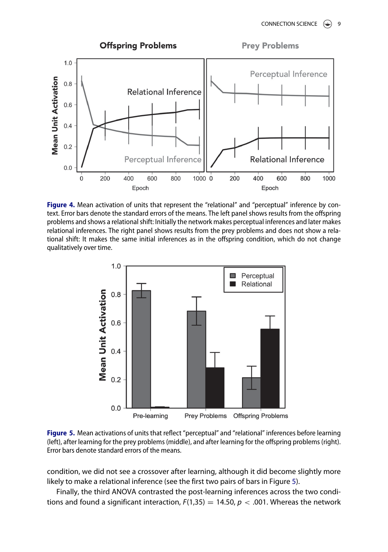

<span id="page-8-0"></span>**Figure 4.** Mean activation of units that represent the "relational" and "perceptual" inference by context. Error bars denote the standard errors of the means. The left panel shows results from the offspring problems and shows a relational shift: Initially the network makes perceptual inferences and later makes relational inferences. The right panel shows results from the prey problems and does not show a relational shift: It makes the same initial inferences as in the offspring condition, which do not change qualitatively over time.



<span id="page-8-1"></span>**Figure 5.** Mean activations of units that reflect "perceptual" and "relational" inferences before learning (left), after learning for the prey problems (middle), and after learning for the offspring problems (right). Error bars denote standard errors of the means.

condition, we did not see a crossover after learning, although it did become slightly more likely to make a relational inference (see the first two pairs of bars in Figure [5\)](#page-8-1).

Finally, the third ANOVA contrasted the post-learning inferences across the two conditions and found a significant interaction,  $F(1,35) = 14.50$ ,  $p < .001$ . Whereas the network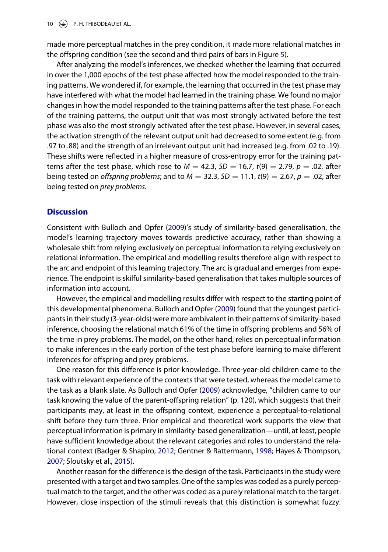$\left(\begin{matrix}\bigoplus\end{matrix}\right)$  P. H. THIBODEAU ET AL.

made more perceptual matches in the prey condition, it made more relational matches in the offspring condition (see the second and third pairs of bars in Figure [5\)](#page-8-1).

After analyzing the model's inferences, we checked whether the learning that occurred in over the 1,000 epochs of the test phase affected how the model responded to the training patterns. We wondered if, for example, the learning that occurred in the test phase may have interfered with what the model had learned in the training phase. We found no major changes in how the model responded to the training patterns after the test phase. For each of the training patterns, the output unit that was most strongly activated before the test phase was also the most strongly activated after the test phase. However, in several cases, the activation strength of the relevant output unit had decreased to some extent (e.g. from .97 to .88) and the strength of an irrelevant output unit had increased (e.g. from .02 to .19). These shifts were reflected in a higher measure of cross-entropy error for the training patterns after the test phase, which rose to  $M = 42.3$ ,  $SD = 16.7$ ,  $t(9) = 2.79$ ,  $p = .02$ , after being tested on *offspring problems*; and to *M* = 32.3, *SD* = 11.1, *t*(9) = 2.67, *p* = .02, after being tested on *prey problems*.

# **Discussion**

Consistent with Bulloch and Opfer [\(2009\)](#page-12-16)'s study of similarity-based generalisation, the model's learning trajectory moves towards predictive accuracy, rather than showing a wholesale shift from relying exclusively on perceptual information to relying exclusively on relational information. The empirical and modelling results therefore align with respect to the arc and endpoint of this learning trajectory. The arc is gradual and emerges from experience. The endpoint is skilful similarity-based generalisation that takes multiple sources of information into account.

However, the empirical and modelling results differ with respect to the starting point of this developmental phenomena. Bulloch and Opfer [\(2009\)](#page-12-16) found that the youngest participants in their study (3-year-olds) were more ambivalent in their patterns of similarity-based inference, choosing the relational match 61% of the time in offspring problems and 56% of the time in prey problems. The model, on the other hand, relies on perceptual information to make inferences in the early portion of the test phase before learning to make different inferences for offspring and prey problems.

One reason for this difference is prior knowledge. Three-year-old children came to the task with relevant experience of the contexts that were tested, whereas the model came to the task as a blank slate. As Bulloch and Opfer [\(2009\)](#page-12-16) acknowledge, "children came to our task knowing the value of the parent-offspring relation" (p. 120), which suggests that their participants may, at least in the offspring context, experience a perceptual-to-relational shift before they turn three. Prior empirical and theoretical work supports the view that perceptual information is primary in similarity-based generalization—until, at least, people have sufficient knowledge about the relevant categories and roles to understand the relational context (Badger & Shapiro, [2012;](#page-12-3) Gentner & Rattermann, [1998;](#page-12-4) Hayes & Thompson, [2007;](#page-12-5) Sloutsky et al., [2015\)](#page-13-0).

Another reason for the difference is the design of the task. Participants in the study were presented with a target and two samples. One of the samples was coded as a purely perceptual match to the target, and the other was coded as a purely relational match to the target. However, close inspection of the stimuli reveals that this distinction is somewhat fuzzy.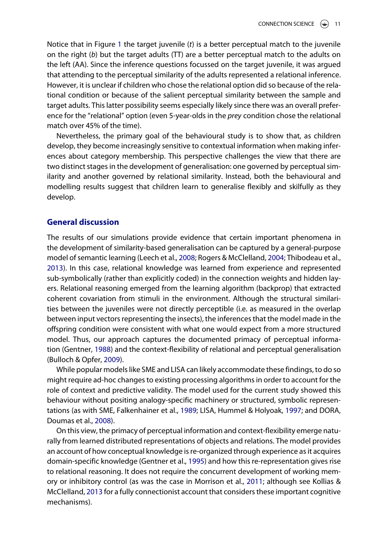Notice that in Figure [1](#page-3-0) the target juvenile (*t*) is a better perceptual match to the juvenile on the right (*b*) but the target adults (TT) are a better perceptual match to the adults on the left (AA). Since the inference questions focussed on the target juvenile, it was argued that attending to the perceptual similarity of the adults represented a relational inference. However, it is unclear if children who chose the relational option did so because of the relational condition or because of the salient perceptual similarity between the sample and target adults. This latter possibility seems especially likely since there was an overall preference for the "relational" option (even 5-year-olds in the *prey* condition chose the relational match over 45% of the time).

Nevertheless, the primary goal of the behavioural study is to show that, as children develop, they become increasingly sensitive to contextual information when making inferences about category membership. This perspective challenges the view that there are two distinct stages in the development of generalisation: one governed by perceptual similarity and another governed by relational similarity. Instead, both the behavioural and modelling results suggest that children learn to generalise flexibly and skilfully as they develop.

# **General discussion**

The results of our simulations provide evidence that certain important phenomena in the development of similarity-based generalisation can be captured by a general-purpose model of semantic learning (Leech et al., [2008;](#page-13-5) Rogers & McClelland, [2004;](#page-13-8) Thibodeau et al., [2013\)](#page-13-9). In this case, relational knowledge was learned from experience and represented sub-symbolically (rather than explicitly coded) in the connection weights and hidden layers. Relational reasoning emerged from the learning algorithm (backprop) that extracted coherent covariation from stimuli in the environment. Although the structural similarities between the juveniles were not directly perceptible (i.e. as measured in the overlap between input vectors representing the insects), the inferences that the model made in the offspring condition were consistent with what one would expect from a more structured model. Thus, our approach captures the documented primacy of perceptual information (Gentner, [1988\)](#page-12-1) and the context-flexibility of relational and perceptual generalisation (Bulloch & Opfer, [2009\)](#page-12-16).

While popular models like SME and LISA can likely accommodate these findings, to do so might require ad-hoc changes to existing processing algorithms in order to account for the role of context and predictive validity. The model used for the current study showed this behaviour without positing analogy-specific machinery or structured, symbolic representations (as with SME, Falkenhainer et al., [1989;](#page-12-9) LISA, Hummel & Holyoak, [1997;](#page-13-4) and DORA, Doumas et al., [2008\)](#page-12-10).

On this view, the primacy of perceptual information and context-flexibility emerge naturally from learned distributed representations of objects and relations. The model provides an account of how conceptual knowledge is re-organized through experience as it acquires domain-specific knowledge (Gentner et al., [1995\)](#page-12-11) and how this re-representation gives rise to relational reasoning. It does not require the concurrent development of working memory or inhibitory control (as was the case in Morrison et al., [2011;](#page-13-7) although see Kollias & McClelland, [2013](#page-13-13) for a fully connectionist account that considers these important cognitive mechanisms).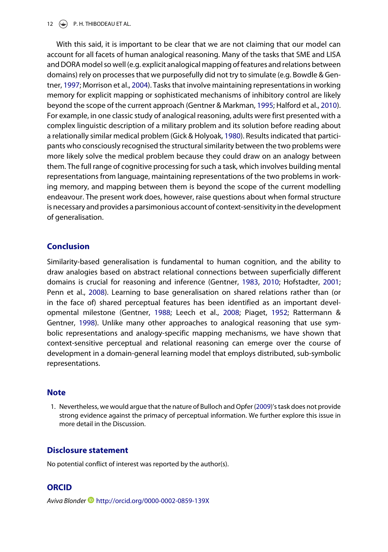#### 12  $\left(\frac{1}{2}\right)$  P. H. THIBODEAU ET AL.

<span id="page-11-6"></span><span id="page-11-4"></span><span id="page-11-3"></span><span id="page-11-1"></span>With this said, it is important to be clear that we are not claiming that our model can account for all facets of human analogical reasoning. Many of the tasks that SME and LISA and DORA model so well (e.g. explicit analogical mapping of features and relations between domains) rely on processes that we purposefully did not try to simulate (e.g. Bowdle & Gentner, [1997;](#page-12-20) Morrison et al., [2004\)](#page-13-17). Tasks that involve maintaining representations in working memory for explicit mapping or sophisticated mechanisms of inhibitory control are likely beyond the scope of the current approach (Gentner & Markman, [1995;](#page-12-21) Halford et al., [2010\)](#page-12-7). For example, in one classic study of analogical reasoning, adults were first presented with a complex linguistic description of a military problem and its solution before reading about a relationally similar medical problem (Gick & Holyoak, [1980\)](#page-12-22). Results indicated that participants who consciously recognised the structural similarity between the two problems were more likely solve the medical problem because they could draw on an analogy between them. The full range of cognitive processing for such a task, which involves building mental representations from language, maintaining representations of the two problems in working memory, and mapping between them is beyond the scope of the current modelling endeavour. The present work does, however, raise questions about when formal structure is necessary and provides a parsimonious account of context-sensitivity in the development of generalisation.

# **Conclusion**

<span id="page-11-5"></span><span id="page-11-2"></span>Similarity-based generalisation is fundamental to human cognition, and the ability to draw analogies based on abstract relational connections between superficially different domains is crucial for reasoning and inference (Gentner, [1983,](#page-12-8) [2010;](#page-12-23) Hofstadter, [2001;](#page-12-24) Penn et al., [2008\)](#page-13-3). Learning to base generalisation on shared relations rather than (or in the face of) shared perceptual features has been identified as an important developmental milestone (Gentner, [1988;](#page-12-1) Leech et al., [2008;](#page-13-5) Piaget, [1952;](#page-13-1) Rattermann & Gentner, [1998\)](#page-13-2). Unlike many other approaches to analogical reasoning that use symbolic representations and analogy-specific mapping mechanisms, we have shown that context-sensitive perceptual and relational reasoning can emerge over the course of development in a domain-general learning model that employs distributed, sub-symbolic representations.

#### **Note**

<span id="page-11-0"></span>[1. N](#page-3-1)evertheless, we would argue that the nature of Bulloch and Opfer [\(2009\)](#page-12-16)'s task does not provide strong evidence against the primacy of perceptual information. We further explore this issue in more detail in the Discussion.

# **Disclosure statement**

No potential conflict of interest was reported by the author(s).

#### **ORCID**

*Aviva Blonder* <http://orcid.org/0000-0002-0859-139X>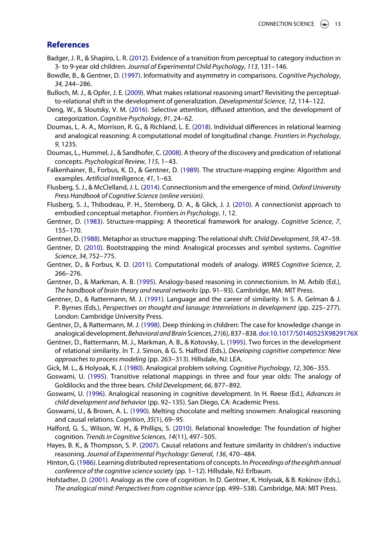# **References**

- <span id="page-12-3"></span>Badger, J. R., & Shapiro, L. R. [\(2012\)](#page-1-0). Evidence of a transition from perceptual to category induction in 3- to 9-year old children. *Journal of Experimental Child Psychology*, *113*, 131–146.
- <span id="page-12-20"></span>Bowdle, B., & Gentner, D. [\(1997\)](#page-11-1). Informativity and asymmetry in comparisons. *Cognitive Psychology*, *34*, 244–286.
- <span id="page-12-16"></span>Bulloch, M. J., & Opfer, J. E. [\(2009\)](#page-2-0). What makes relational reasoning smart? Revisiting the perceptualto-relational shift in the development of generalization. *Developmental Science*, *12*, 114–122.
- <span id="page-12-0"></span>Deng, W., & Sloutsky, V. M. [\(2016\)](#page-0-3). Selective attention, diffused attention, and the development of categorization. *Cognitive Psychology*, *91*, 24–62.
- <span id="page-12-10"></span>Doumas, L. A. A., Morrison, R. G., & Richland, L. E. [\(2018\)](#page-1-1). Individual differences in relational learning and analogical reasoning: A computational model of longitudinal change. *Frontiers in Psychology*, *9*, 1235.
- <span id="page-12-14"></span>Doumas, L., Hummel, J., & Sandhofer, C. [\(2008\)](#page-2-1). A theory of the discovery and predication of relational concepts. *Psychological Review*, *115*, 1–43.
- <span id="page-12-9"></span>Falkenhainer, B., Forbus, K. D., & Gentner, D. [\(1989\)](#page-1-2). The structure-mapping engine: Algorithm and examples. *Artificial Intelligence*, *41*, 1–63.
- <span id="page-12-18"></span>Flusberg, S. J., & McClelland, J. L. [\(2014\)](#page-4-1). Connectionism and the emergence of mind. *Oxford University Press Handbook of Cognitive Science (online version)*.
- <span id="page-12-17"></span>Flusberg, S. J., Thibodeau, P. H., Sternberg, D. A., & Glick, J. J. [\(2010\)](#page-3-2). A connectionist approach to embodied conceptual metaphor. *Frontiers in Psychology*, *1*, 12.
- <span id="page-12-8"></span>Gentner, D. [\(1983\)](#page-1-3). Structure-mapping: A theoretical framework for analogy. *Cognitive Science*, *7* , 155–170.
- <span id="page-12-1"></span>Gentner, D. [\(1988\)](#page-0-4). Metaphor as structure mapping: The relational shift. *Child Development*, *59*, 47–59.
- <span id="page-12-23"></span>Gentner, D. [\(2010\)](#page-11-2). Bootstrapping the mind: Analogical processes and symbol systems. *Cognitive Science*, *34*, 752–775.
- <span id="page-12-15"></span>Gentner, D., & Forbus, K. D. [\(2011\)](#page-2-2). Computational models of analogy. *WIRES Cognitive Science*, *2*, 266–276.
- <span id="page-12-21"></span>Gentner, D., & Markman, A. B. [\(1995\)](#page-11-3). Analogy-based reasoning in connectionism. In M. Arbib (Ed.), *The handbook of brain theory and neural networks* (pp. 91–93). Cambridge, MA: MIT Press.
- <span id="page-12-12"></span>Gentner, D., & Rattermann, M. J. [\(1991\)](#page-1-4). Language and the career of similarity. In S. A. Gelman & J. P. Byrnes (Eds.), *Perspectives on thought and lanauge: Interrelations in development* (pp. 225–277). London: Cambridge University Press.
- <span id="page-12-4"></span>Gentner, D., & Rattermann, M. J. [\(1998\)](#page-1-5). Deep thinking in children: The case for knowledge change in analogical development. *Behavioral and Brain Sciences*, *21*(6), 837–838. [doi:10.1017/S0140525X9829176X](https://doi.org/10.1017/S0140525X9829176X)
- <span id="page-12-11"></span>Gentner, D., Rattermann, M. J., Markman, A. B., & Kotovsky, L. [\(1995\)](#page-1-6). Two forces in the development of relational similarity. In T. J. Simon, & G. S. Halford (Eds.), *Developing cognitive competence: New approaches to process modeling* (pp. 263–313). Hillsdale, NJ: LEA.
- <span id="page-12-22"></span>Gick, M. L., & Holyoak, K. J. [\(1980\)](#page-11-4). Analogical problem solving. *Cognitive Psychology*, *12*, 306–355.
- <span id="page-12-13"></span>Goswami, U. [\(1995\)](#page-1-7). Transitive relational mappings in three and four year olds: The analogy of Goldilocks and the three bears. *Child Development*, *66*, 877–892.
- <span id="page-12-6"></span>Goswami, U. [\(1996\)](#page-1-8). Analogical reasoning in cognitive development. In H. Reese (Ed.), *Advances in child development and behavior* (pp. 92–135). San Diego, CA: Academic Press.
- <span id="page-12-2"></span>Goswami, U., & Brown, A. L. [\(1990\)](#page-0-5). Melting chocolate and melting snowmen: Analogical reasoning and causal relations. *Cognition*, *35*(1), 69–95.
- <span id="page-12-7"></span>Halford, G. S., Wilson, W. H., & Phillips, S. [\(2010\)](#page-1-9). Relational knowledge: The foundation of higher cognition. *Trends in Cognitive Sciences*, *14*(11), 497–505.
- <span id="page-12-5"></span>Hayes, B. K., & Thompson, S. P. [\(2007\)](#page-1-10). Causal relations and feature similarity in children's inductive reasoning. *Journal of Experimental Psychology: General*, *136*, 470–484.
- <span id="page-12-19"></span>Hinton, G. [\(1986\)](#page-6-0). Learning distributed representations of concepts. In *Proceedings of the eighth annual conference of the cognitive science society* (pp. 1–12). Hillsdale, NJ: Erlbaum.
- <span id="page-12-24"></span>Hofstadter, D. [\(2001\)](#page-11-5). Analogy as the core of cognition. In D. Gentner, K. Holyoak, & B. Kokinov (Eds.), *The analogical mind: Perspectives from cognitive science* (pp. 499–538). Cambridge, MA: MIT Press.